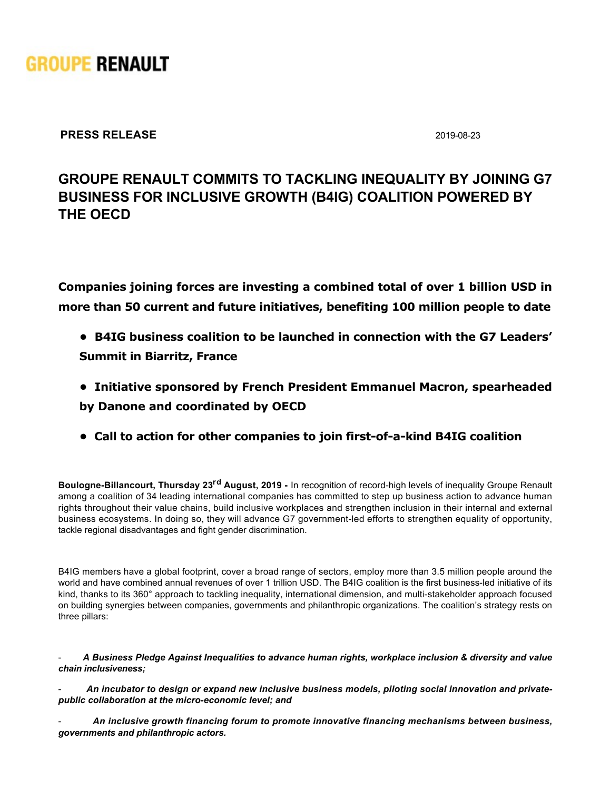

**PRESS RELEASE** 2019-08-23

# **GROUPE RENAULT COMMITS TO TACKLING INEQUALITY BY JOINING G7 BUSINESS FOR INCLUSIVE GROWTH (B4IG) COALITION POWERED BY THE OECD**

**Companies joining forces are investing a combined total of over 1 billion USD in more than 50 current and future initiatives, benefiting 100 million people to date**

- **B4IG business coalition to be launched in connection with the G7 Leaders' Summit in Biarritz, France**
- **Initiative sponsored by French President Emmanuel Macron, spearheaded by Danone and coordinated by OECD**
- **Call to action for other companies to join first-of-a-kind B4IG coalition**

**Boulogne-Billancourt, Thursday 23<sup>rd</sup> August, 2019 - In recognition of record-high levels of inequality Groupe Renault** among a coalition of 34 leading international companies has committed to step up business action to advance human rights throughout their value chains, build inclusive workplaces and strengthen inclusion in their internal and external business ecosystems. In doing so, they will advance G7 government-led efforts to strengthen equality of opportunity, tackle regional disadvantages and fight gender discrimination.

B4IG members have a global footprint, cover a broad range of sectors, employ more than 3.5 million people around the world and have combined annual revenues of over 1 trillion USD. The B4IG coalition is the first business-led initiative of its kind, thanks to its 360° approach to tackling inequality, international dimension, and multi-stakeholder approach focused on building synergies between companies, governments and philanthropic organizations. The coalition's strategy rests on three pillars:

 *A Business Pledge Against Inequalities to advance human rights, workplace inclusion & diversity and value chain inclusiveness;*

 *An incubator to design or expand new inclusive business models, piloting social innovation and private*public collaboration at the micro-economic level; and

 *An inclusive growth financing forum to promote innovative financing mechanisms between business, governments and philanthropic actors.*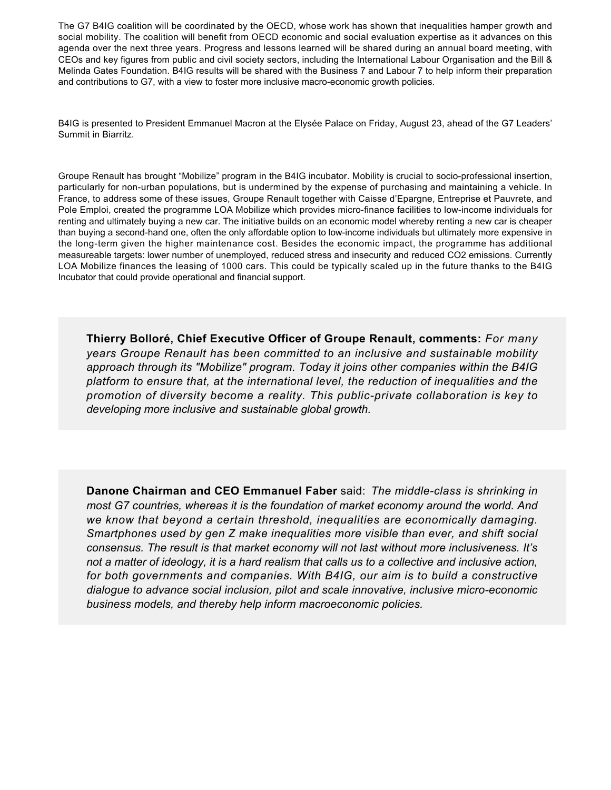The G7 B4IG coalition will be coordinated by the OECD, whose work has shown that inequalities hamper growth and social mobility. The coalition will benefit from OECD economic and social evaluation expertise as it advances on this agenda over the next three years. Progress and lessons learned will be shared during an annual board meeting, with CEOs and key figures from public and civil society sectors, including the International Labour Organisation and the Bill & Melinda Gates Foundation. B4IG results will be shared with the Business 7 and Labour 7 to help inform their preparation and contributions to G7, with a view to foster more inclusive macro-economic growth policies.

B4IG is presented to President Emmanuel Macron at the Elysée Palace on Friday, August 23, ahead of the G7 Leaders' Summit in Biarritz.

Groupe Renault has brought "Mobilize" program in the B4IG incubator. Mobility is crucial to socio-professional insertion, particularly for non-urban populations, but is undermined by the expense of purchasing and maintaining a vehicle. In France, to address some of these issues, Groupe Renault together with Caisse d'Epargne, Entreprise et Pauvrete, and Pole Emploi, created the programme LOA Mobilize which provides micro-finance facilities to low-income individuals for renting and ultimately buying a new car. The initiative builds on an economic model whereby renting a new car is cheaper than buying a second-hand one, often the only affordable option to low-income individuals but ultimately more expensive in the long-term given the higher maintenance cost. Besides the economic impact, the programme has additional measureable targets: lower number of unemployed, reduced stress and insecurity and reduced CO2 emissions. Currently LOA Mobilize finances the leasing of 1000 cars. This could be typically scaled up in the future thanks to the B4IG Incubator that could provide operational and financial support.

**Thierry Bolloré, Chief Executive Officer of Groupe Renault, comments:** *For many years Groupe Renault has been committed to an inclusive and sustainable mobility approach through its "Mobilize" program. Today it joins other companies within the B4IG platform to ensure that, at the international level, the reduction of inequalities and the promotion of diversity become a reality. This public-private collaboration is key to developing more inclusive and sustainable global growth.*

**Danone Chairman and CEO Emmanuel Faber** said: The middle-class is shrinking in *most G7 countries, whereas it is the foundation of market economy around the world. And we know that beyond a certain threshold, inequalities are economically damaging. Smartphones used by gen Z make inequalities more visible than ever, and shift social consensus. The result is that market economy will not last without more inclusiveness. It's not a matter of ideology, it is a hard realism that calls us to a collective and inclusive action, for both governments and companies. With B4IG, our aim is to build a constructive* dialogue to advance social inclusion, pilot and scale innovative, inclusive micro-economic *business models, and thereby help inform macroeconomic policies.*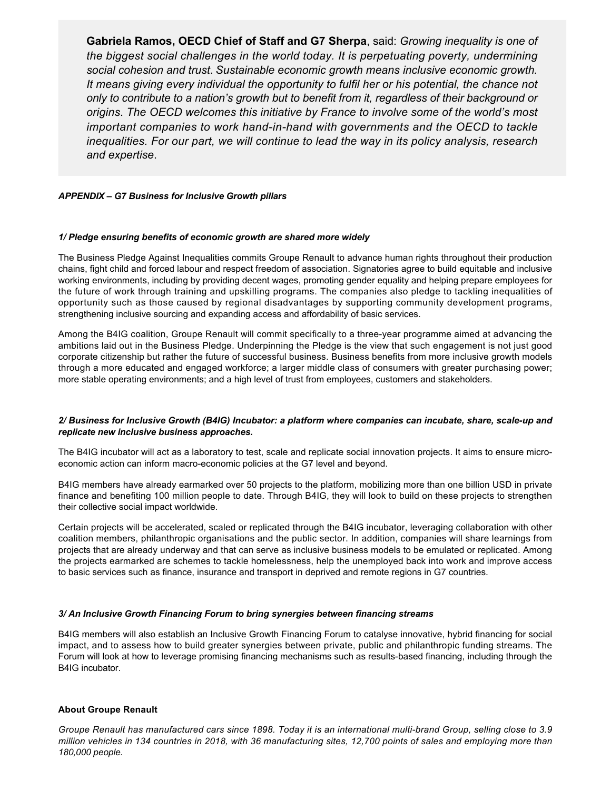**Gabriela Ramos, OECD Chief of Staff and G7 Sherpa**, said: *Growing inequality is one of the biggest social challenges in the world today. It is perpetuating poverty, undermining social cohesion and trust*. *Sustainable economic growth means inclusive economic growth. It means giving every individual the opportunity to fulfil her or his potential, the chance not only to contribute to a nation's growth but to benefit from it, regardless of their background or origins*. *The OECD welcomes this initiative by France to involve some of the world's most important companies to work hand-in-hand with governments and the OECD to tackle inequalities. For our part, we will continue to lead the way in its policy analysis, research and expertise*.

## *APPENDIX – G7 Business for Inclusive Growth pillars*

### *1/ Pledge ensuring benefits of economic growth are shared more widely*

The Business Pledge Against Inequalities commits Groupe Renault to advance human rights throughout their production chains, fight child and forced labour and respect freedom of association. Signatories agree to build equitable and inclusive working environments, including by providing decent wages, promoting gender equality and helping prepare employees for the future of work through training and upskilling programs. The companies also pledge to tackling inequalities of opportunity such as those caused by regional disadvantages by supporting community development programs, strengthening inclusive sourcing and expanding access and affordability of basic services.

Among the B4IG coalition, Groupe Renault will commit specifically to a three-year programme aimed at advancing the ambitions laid out in the Business Pledge. Underpinning the Pledge is the view that such engagement is not just good corporate citizenship but rather the future of successful business. Business benefits from more inclusive growth models through a more educated and engaged workforce; a larger middle class of consumers with greater purchasing power; more stable operating environments; and a high level of trust from employees, customers and stakeholders.

### 2/ Business for Inclusive Growth (B4IG) Incubator: a platform where companies can incubate, share, scale-up and *replicate new inclusive business approaches.*

The B4IG incubator will act as a laboratory to test, scale and replicate social innovation projects. It aims to ensure microeconomic action can inform macro-economic policies at the G7 level and beyond.

B4IG members have already earmarked over 50 projects to the platform, mobilizing more than one billion USD in private finance and benefiting 100 million people to date. Through B4IG, they will look to build on these projects to strengthen their collective social impact worldwide.

Certain projects will be accelerated, scaled or replicated through the B4IG incubator, leveraging collaboration with other coalition members, philanthropic organisations and the public sector. In addition, companies will share learnings from projects that are already underway and that can serve as inclusive business models to be emulated or replicated. Among the projects earmarked are schemes to tackle homelessness, help the unemployed back into work and improve access to basic services such as finance, insurance and transport in deprived and remote regions in G7 countries.

### *3/ An Inclusive Growth Financing Forum to bring synergies between financing streams*

B4IG members will also establish an Inclusive Growth Financing Forum to catalyse innovative, hybrid financing for social impact, and to assess how to build greater synergies between private, public and philanthropic funding streams. The Forum will look at how to leverage promising financing mechanisms such as results-based financing, including through the B4IG incubator.

### **About Groupe Renault**

Groupe Renault has manufactured cars since 1898. Today it is an international multi-brand Group, selling close to 3.9 *million vehicles in 134 countries in 2018, with 36 manufacturing sites, 12,700 points of sales and employing more than 180,000 people.*